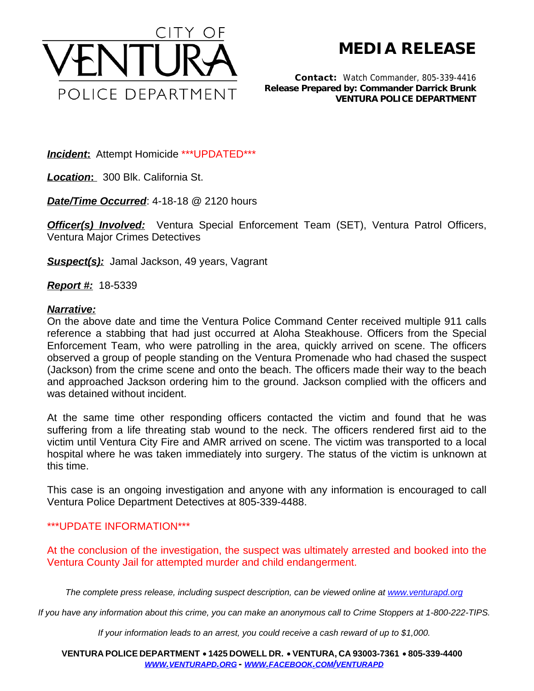

**MEDIA RELEASE**

*Contact:* Watch Commander, 805-339-4416 *Release Prepared by: Commander Darrick Brunk* **VENTURA POLICE DEPARTMENT**

*Incident***:** Attempt Homicide \*\*\*UPDATED\*\*\*

*Location***:** 300 Blk. California St.

*Date/Time Occurred*: 4-18-18 @ 2120 hours

**Officer(s) Involved:** Ventura Special Enforcement Team (SET), Ventura Patrol Officers, Ventura Major Crimes Detectives

*Suspect(s):* Jamal Jackson, 49 years, Vagrant

*Report #:* 18-5339

## *Narrative:*

On the above date and time the Ventura Police Command Center received multiple 911 calls reference a stabbing that had just occurred at Aloha Steakhouse. Officers from the Special Enforcement Team, who were patrolling in the area, quickly arrived on scene. The officers observed a group of people standing on the Ventura Promenade who had chased the suspect (Jackson) from the crime scene and onto the beach. The officers made their way to the beach and approached Jackson ordering him to the ground. Jackson complied with the officers and was detained without incident.

At the same time other responding officers contacted the victim and found that he was suffering from a life threating stab wound to the neck. The officers rendered first aid to the victim until Ventura City Fire and AMR arrived on scene. The victim was transported to a local hospital where he was taken immediately into surgery. The status of the victim is unknown at this time.

This case is an ongoing investigation and anyone with any information is encouraged to call Ventura Police Department Detectives at 805-339-4488.

## \*\*\*UPDATE INFORMATION\*\*\*

At the conclusion of the investigation, the suspect was ultimately arrested and booked into the Ventura County Jail for attempted murder and child endangerment.

*The complete press release, including suspect description, can be viewed online at [www.venturapd.org](http://www.venturapd.org)*

*If you have any information about this crime, you can make an anonymous call to Crime Stoppers at 1-800-222-TIPS.*

*If your information leads to an arrest, you could receive a cash reward of up to \$1,000.*